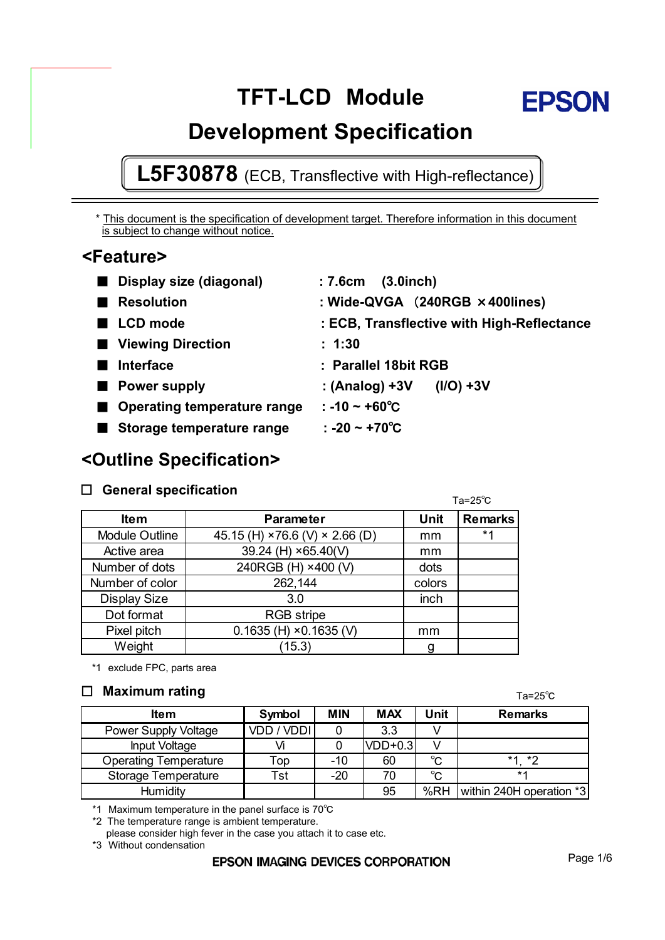# **TFT-LCD Module**



## **L5F30878** (ECB, Transflective with High-reflectance)

\* This document is the specification of development target. Therefore information in this document is subject to change without notice.

### **<Feature>**

| ■ Display size (diagonal)          | : 7.6cm<br>$(3.0$ inch $)$                 |
|------------------------------------|--------------------------------------------|
| <b>Resolution</b>                  | : Wide-QVGA (240RGB × 400lines)            |
| LCD mode                           | : ECB, Transflective with High-Reflectance |
| ■ Viewing Direction                | : 1:30                                     |
| <b>Interface</b>                   | : Parallel 18bit RGB                       |
| <b>Power supply</b>                | : $(Analog) + 3V$<br>$(1/O) + 3V$          |
| <b>Operating temperature range</b> | $: -10 - +60^{\circ}$ C                    |
| Storage temperature range          | : -20 ~ +70 <sup>o</sup> C                 |
|                                    |                                            |

### **<Outline Specification>**

### 䂔 **General specification**

 $Ta = 25^\circ C$ 

| <b>Item</b>           | <b>Parameter</b>                 | <b>Unit</b> | <b>Remarks</b> |
|-----------------------|----------------------------------|-------------|----------------|
| <b>Module Outline</b> | 45.15 (H) × 76.6 (V) × 2.66 (D)  | mm          | $*1$           |
| Active area           | 39.24 (H) ×65.40(V)              | mm          |                |
| Number of dots        | 240RGB (H) ×400 (V)              | dots        |                |
| Number of color       | 262,144                          | colors      |                |
| <b>Display Size</b>   | 3.0                              | inch        |                |
| Dot format            | <b>RGB</b> stripe                |             |                |
| Pixel pitch           | $0.1635$ (H) $\times$ 0.1635 (V) | mm          |                |
| Weight                | (15.3)                           |             |                |

\*1 exclude FPC, parts area

### 䂔 **Maximum rating**

| <b>Item</b>                  | Symbol            | <b>MIN</b> | <b>MAX</b> | Unit         | <b>Remarks</b>           |
|------------------------------|-------------------|------------|------------|--------------|--------------------------|
| Power Supply Voltage         | <b>VDD / VDDI</b> |            | 3.3        |              |                          |
| Input Voltage                |                   |            | $VDD+0.3$  | v            |                          |
| <b>Operating Temperature</b> | Top               | $-10$      | 60         | $^{\circ}$ C | $*1$ $*2$                |
| Storage Temperature          | Tst               | $-20$      | 70         | $^{\circ}$ C | $*1$                     |
| Humidity                     |                   |            | 95         | %RH          | within 240H operation *3 |

\*1 Maximum temperature in the panel surface is  $70^{\circ}$ C

\*2 The temperature range is ambient temperature.

please consider high fever in the case you attach it to case etc.

\*3 Without condensation

### **EPSON IMAGING DEVICES CORPORATION**

 $Ta = 25^\circ C$ 

**FPSON**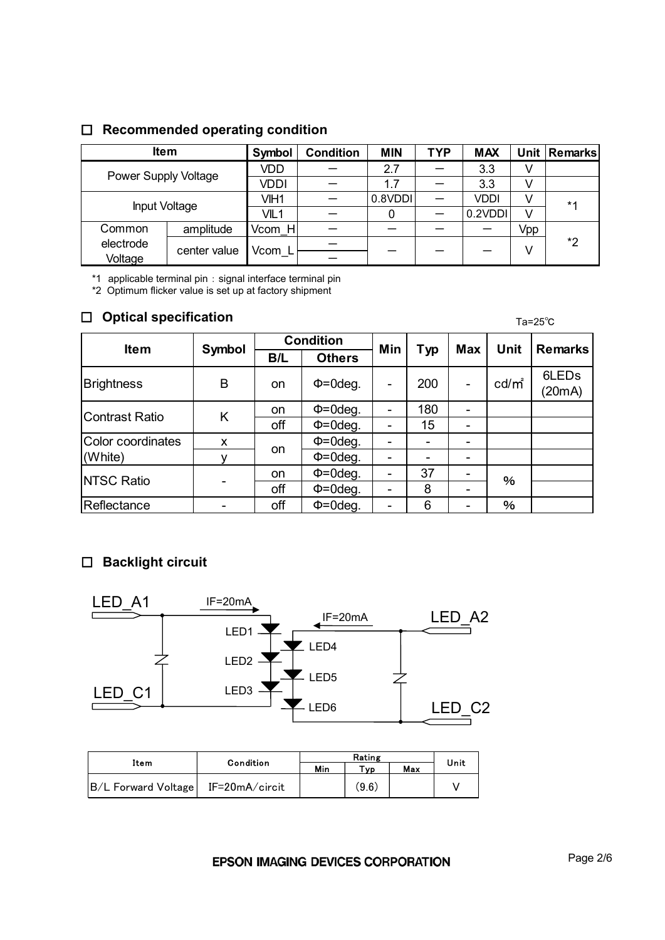### 䂔 **Recommended operating condition**

| <b>Item</b>          |              | Symbol           | <b>Condition</b> | <b>MIN</b> | <b>TYP</b> | <b>MAX</b>  |     | Unit   Remarks |
|----------------------|--------------|------------------|------------------|------------|------------|-------------|-----|----------------|
| Power Supply Voltage |              | VDD              |                  | 2.7        |            | 3.3         |     |                |
|                      |              | <b>VDDI</b>      |                  | 1.7        |            | 3.3         |     |                |
| Input Voltage        |              | VIH1             |                  | 0.8VDDI    |            | <b>VDDI</b> |     | $*1$           |
|                      |              | VIL <sub>1</sub> |                  | 0          |            | 0.2VDDI     | v   |                |
| Common               | amplitude    | Vcom H           |                  |            |            |             | Vpp |                |
| electrode            | center value | Vcom L           |                  |            |            |             | V   | *2             |
| Voltage              |              |                  |                  |            |            |             |     |                |

\*1 applicable terminal pin 䋺 signal interface terminal pin

\*2 Optimum flicker value is set up at factory shipment

### 䂔 **Optical specification**

Ta=25㷄

| <b>Item</b>           | Symbol | <b>Condition</b> |               | Min                      |                          | <b>Max</b> | <b>Unit</b>       | <b>Remarks</b>              |
|-----------------------|--------|------------------|---------------|--------------------------|--------------------------|------------|-------------------|-----------------------------|
|                       |        | B/L              | <b>Others</b> |                          | <b>Typ</b>               |            |                   |                             |
| <b>Brightness</b>     | B      | on               | $\Phi$ =0deg. |                          | 200                      | -          | cd/m <sup>2</sup> | 6LED <sub>s</sub><br>(20mA) |
| <b>Contrast Ratio</b> | K      | on               | $\Phi$ =0deg. |                          | 180                      |            |                   |                             |
|                       |        | off              | $\Phi$ =0deg. |                          | 15                       | -          |                   |                             |
| Color coordinates     | X      |                  | $\Phi$ =0deg. | -                        | $\overline{\phantom{a}}$ | -          |                   |                             |
| (White)               |        | on               | $\Phi$ =0deg. |                          |                          |            |                   |                             |
| <b>NTSC Ratio</b>     |        | on               | $\Phi$ =0deg. | $\overline{\phantom{0}}$ | 37                       |            | %                 |                             |
|                       |        | off              | $\Phi$ =0deg. |                          | 8                        |            |                   |                             |
| Reflectance           |        | off              | $\Phi$ =0deg. |                          | 6                        |            | %                 |                             |

### 䂔 **Backlight circuit**



| Condition<br>Item   |                | Min | $T_{VD}$ | Max | Unit |
|---------------------|----------------|-----|----------|-----|------|
| B/L Forward Voltage | IF=20mA/circit |     | (9.6)    |     |      |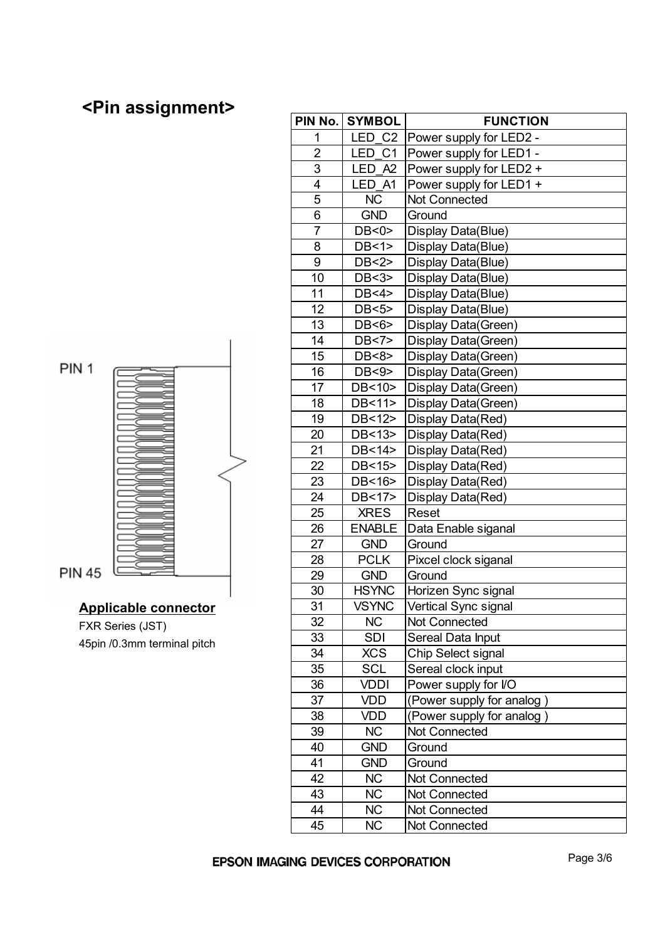## **<Pin assignment>**





**PIN 45** 

#### **Applicable connector**

FXR Series (JST) 45pin /0.3mm terminal pitch

| PIN No.        | <b>SYMBOL</b>         | <b>FUNCTION</b>           |
|----------------|-----------------------|---------------------------|
| 1              | LED C2                | Power supply for LED2 -   |
| $\overline{2}$ | LED<br>C <sub>1</sub> | Power supply for LED1 -   |
| 3              | LED A2                | Power supply for LED2 +   |
| $\overline{4}$ | LED A1                | Power supply for LED1 +   |
| $\overline{5}$ | <b>NC</b>             | Not Connected             |
| 6              | <b>GND</b>            | Ground                    |
| $\overline{7}$ | DB < 0                | Display Data(Blue)        |
| 8              | DB<1>                 | Display Data(Blue)        |
| 9              | DB<2>                 | Display Data(Blue)        |
| 10             | DB<3>                 | Display Data(Blue)        |
| 11             | DB < 4                | Display Data(Blue)        |
| 12             | DB<5>                 | Display Data(Blue)        |
| 13             | DB<6>                 | Display Data(Green)       |
| 14             | DB<7>                 | Display Data(Green)       |
| 15             | DB<8>                 | Display Data(Green)       |
| 16             | DB<9>                 | Display Data(Green)       |
| 17             | DB<10>                | Display Data(Green)       |
| 18             | DB<11>                | Display Data(Green)       |
| 19             | DB<12>                | Display Data(Red)         |
| 20             | DB<13>                | Display Data(Red)         |
| 21             | DB<14>                | Display Data(Red)         |
| 22             | DB<15>                | Display Data(Red)         |
| 23             | DB<16>                | Display Data(Red)         |
| 24             | DB<17>                | Display Data(Red)         |
| 25             | <b>XRES</b>           | Reset                     |
| 26             | <b>ENABLE</b>         | Data Enable siganal       |
| 27             | <b>GND</b>            | Ground                    |
| 28             | <b>PCLK</b>           | Pixcel clock siganal      |
| 29             | <b>GND</b>            | Ground                    |
| 30             | <b>HSYNC</b>          | Horizen Sync signal       |
| 31             | <b>VSYNC</b>          | Vertical Sync signal      |
| 32             | <b>NC</b>             | <b>Not Connected</b>      |
| 33             | <b>SDI</b>            | Sereal Data Input         |
| 34             | <b>XCS</b>            | Chip Select signal        |
| 35             | SCL                   | Sereal clock input        |
| 36             | <b>VDDI</b>           | Power supply for I/O      |
| 37             | <b>VDD</b>            | (Power supply for analog) |
| 38             | <b>VDD</b>            | (Power supply for analog) |
| 39             | <b>NC</b>             | Not Connected             |
| 40             | <b>GND</b>            | Ground                    |
| 41             | <b>GND</b>            | Ground                    |
| 42             | <b>NC</b>             | Not Connected             |
| 43             | <b>NC</b>             | Not Connected             |
| 44             | <b>NC</b>             | Not Connected             |
| 45             | <b>NC</b>             | Not Connected             |

#### EPSON IMAGING DEVICES CORPORATION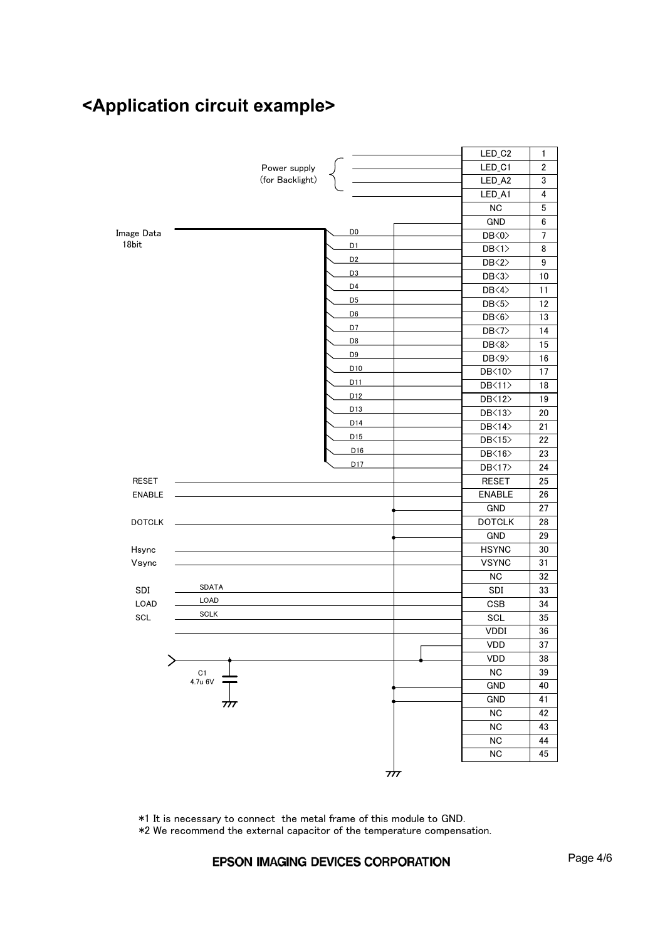## **<Application circuit example>**



㪁㪈㩷㪠㫋㩷㫀㫊㩷㫅㪼㪺㪼㫊㫊㪸㫉㫐㩷㫋㫆㩷㪺㫆㫅㫅㪼㪺㫋㩷㩷㫋㪿㪼㩷㫄㪼㫋㪸㫃㩷㪽㫉㪸㫄㪼㩷㫆㪽㩷㫋㪿㫀㫊㩷㫄㫆㪻㫌㫃㪼㩷㫋㫆㩷㪞㪥㪛㪅

㪁㪉㩷㪮㪼㩷㫉㪼㪺㫆㫄㫄㪼㫅㪻㩷㫋㪿㪼㩷㪼㫏㫋㪼㫉㫅㪸㫃㩷㪺㪸㫇㪸㪺㫀㫋㫆㫉㩷㫆㪽㩷㫋㪿㪼㩷㫋㪼㫄㫇㪼㫉㪸㫋㫌㫉㪼㩷㪺㫆㫄㫇㪼㫅㫊㪸㫋㫀㫆㫅㪅

#### EPSON IMAGING DEVICES CORPORATION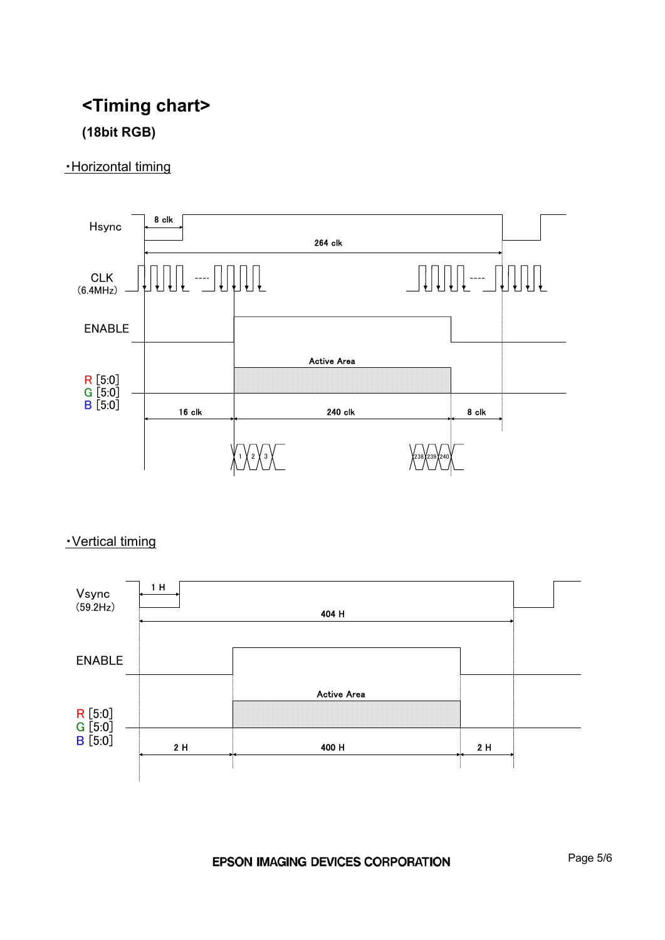## **<Timing chart> (18bit RGB)**

### 䊶Horizontal timing



### 䊶Vertical timing